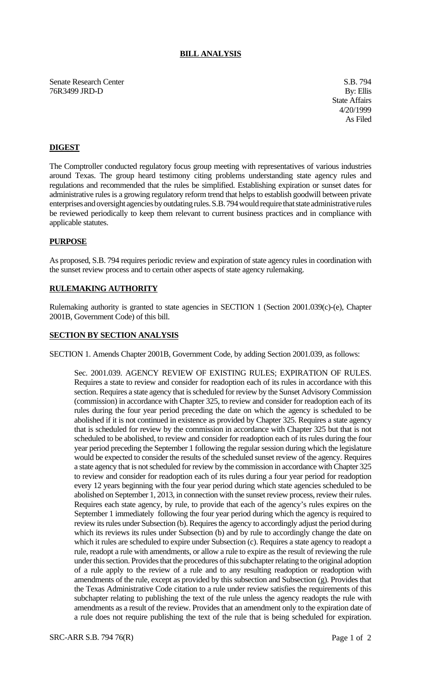### **BILL ANALYSIS**

Senate Research Center S.B. 794 76R3499 JRD-D By: Ellis

State Affairs 4/20/1999 As Filed

# **DIGEST**

The Comptroller conducted regulatory focus group meeting with representatives of various industries around Texas. The group heard testimony citing problems understanding state agency rules and regulations and recommended that the rules be simplified. Establishing expiration or sunset dates for administrative rules is a growing regulatory reform trend that helps to establish goodwill between private enterprises and oversight agencies by outdating rules. S.B. 794 would require that state administrative rules be reviewed periodically to keep them relevant to current business practices and in compliance with applicable statutes.

#### **PURPOSE**

As proposed, S.B. 794 requires periodic review and expiration of state agency rules in coordination with the sunset review process and to certain other aspects of state agency rulemaking.

## **RULEMAKING AUTHORITY**

Rulemaking authority is granted to state agencies in SECTION 1 (Section 2001.039(c)-(e), Chapter 2001B, Government Code) of this bill.

#### **SECTION BY SECTION ANALYSIS**

SECTION 1. Amends Chapter 2001B, Government Code, by adding Section 2001.039, as follows:

Sec. 2001.039. AGENCY REVIEW OF EXISTING RULES; EXPIRATION OF RULES. Requires a state to review and consider for readoption each of its rules in accordance with this section. Requires a state agency that is scheduled for review by the Sunset Advisory Commission (commission) in accordance with Chapter 325, to review and consider for readoption each of its rules during the four year period preceding the date on which the agency is scheduled to be abolished if it is not continued in existence as provided by Chapter 325. Requires a state agency that is scheduled for review by the commission in accordance with Chapter 325 but that is not scheduled to be abolished, to review and consider for readoption each of its rules during the four year period preceding the September 1 following the regular session during which the legislature would be expected to consider the results of the scheduled sunset review of the agency. Requires a state agency that is not scheduled for review by the commission in accordance with Chapter 325 to review and consider for readoption each of its rules during a four year period for readoption every 12 years beginning with the four year period during which state agencies scheduled to be abolished on September 1, 2013, in connection with the sunset review process, review their rules. Requires each state agency, by rule, to provide that each of the agency's rules expires on the September 1 immediately following the four year period during which the agency is required to review its rules under Subsection (b). Requires the agency to accordingly adjust the period during which its reviews its rules under Subsection (b) and by rule to accordingly change the date on which it rules are scheduled to expire under Subsection (c). Requires a state agency to readopt a rule, readopt a rule with amendments, or allow a rule to expire as the result of reviewing the rule under this section. Provides that the procedures of this subchapter relating to the original adoption of a rule apply to the review of a rule and to any resulting readoption or readoption with amendments of the rule, except as provided by this subsection and Subsection (g). Provides that the Texas Administrative Code citation to a rule under review satisfies the requirements of this subchapter relating to publishing the text of the rule unless the agency readopts the rule with amendments as a result of the review. Provides that an amendment only to the expiration date of a rule does not require publishing the text of the rule that is being scheduled for expiration.